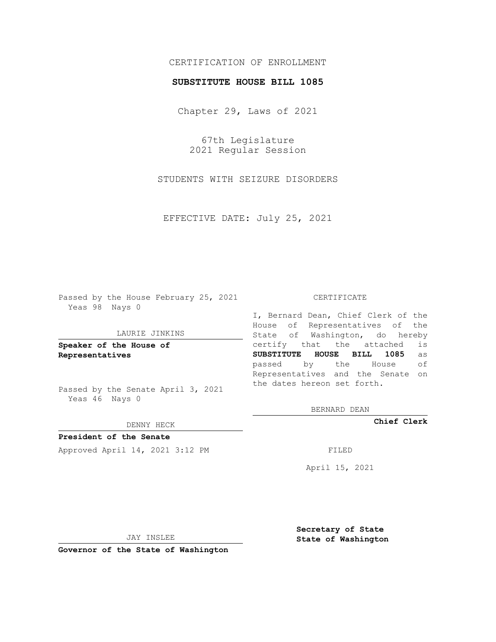# CERTIFICATION OF ENROLLMENT

## **SUBSTITUTE HOUSE BILL 1085**

Chapter 29, Laws of 2021

67th Legislature 2021 Regular Session

STUDENTS WITH SEIZURE DISORDERS

EFFECTIVE DATE: July 25, 2021

Passed by the House February 25, 2021 Yeas 98 Nays 0

#### LAURIE JINKINS

**Speaker of the House of Representatives**

Passed by the Senate April 3, 2021 Yeas 46 Nays 0

### DENNY HECK

**President of the Senate** Approved April 14, 2021 3:12 PM FILED

#### CERTIFICATE

I, Bernard Dean, Chief Clerk of the House of Representatives of the State of Washington, do hereby certify that the attached is **SUBSTITUTE HOUSE BILL 1085** as passed by the House of Representatives and the Senate on the dates hereon set forth.

BERNARD DEAN

**Chief Clerk**

April 15, 2021

JAY INSLEE

**Governor of the State of Washington**

**Secretary of State State of Washington**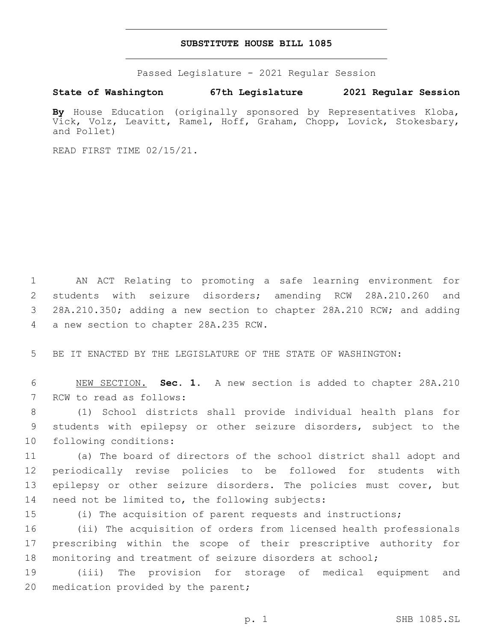## **SUBSTITUTE HOUSE BILL 1085**

Passed Legislature - 2021 Regular Session

**State of Washington 67th Legislature 2021 Regular Session**

By House Education (originally sponsored by Representatives Kloba, Vick, Volz, Leavitt, Ramel, Hoff, Graham, Chopp, Lovick, Stokesbary, and Pollet)

READ FIRST TIME 02/15/21.

 AN ACT Relating to promoting a safe learning environment for students with seizure disorders; amending RCW 28A.210.260 and 28A.210.350; adding a new section to chapter 28A.210 RCW; and adding 4 a new section to chapter 28A.235 RCW.

5 BE IT ENACTED BY THE LEGISLATURE OF THE STATE OF WASHINGTON:

6 NEW SECTION. **Sec. 1.** A new section is added to chapter 28A.210 7 RCW to read as follows:

8 (1) School districts shall provide individual health plans for 9 students with epilepsy or other seizure disorders, subject to the 10 following conditions:

11 (a) The board of directors of the school district shall adopt and 12 periodically revise policies to be followed for students with 13 epilepsy or other seizure disorders. The policies must cover, but 14 need not be limited to, the following subjects:

15 (i) The acquisition of parent requests and instructions;

16 (ii) The acquisition of orders from licensed health professionals 17 prescribing within the scope of their prescriptive authority for 18 monitoring and treatment of seizure disorders at school;

19 (iii) The provision for storage of medical equipment and 20 medication provided by the parent;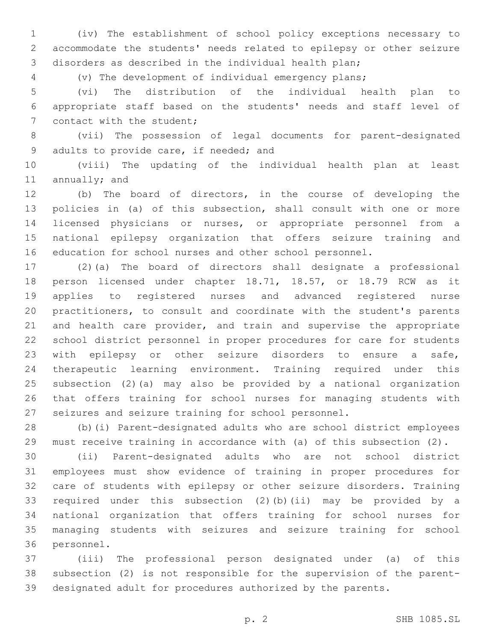(iv) The establishment of school policy exceptions necessary to accommodate the students' needs related to epilepsy or other seizure disorders as described in the individual health plan;

(v) The development of individual emergency plans;

 (vi) The distribution of the individual health plan to appropriate staff based on the students' needs and staff level of 7 contact with the student;

 (vii) The possession of legal documents for parent-designated 9 adults to provide care, if needed; and

 (viii) The updating of the individual health plan at least 11 annually; and

 (b) The board of directors, in the course of developing the policies in (a) of this subsection, shall consult with one or more licensed physicians or nurses, or appropriate personnel from a national epilepsy organization that offers seizure training and education for school nurses and other school personnel.

 (2)(a) The board of directors shall designate a professional person licensed under chapter 18.71, 18.57, or 18.79 RCW as it applies to registered nurses and advanced registered nurse practitioners, to consult and coordinate with the student's parents and health care provider, and train and supervise the appropriate school district personnel in proper procedures for care for students with epilepsy or other seizure disorders to ensure a safe, therapeutic learning environment. Training required under this subsection (2)(a) may also be provided by a national organization that offers training for school nurses for managing students with seizures and seizure training for school personnel.

 (b)(i) Parent-designated adults who are school district employees must receive training in accordance with (a) of this subsection (2).

 (ii) Parent-designated adults who are not school district employees must show evidence of training in proper procedures for care of students with epilepsy or other seizure disorders. Training required under this subsection (2)(b)(ii) may be provided by a national organization that offers training for school nurses for managing students with seizures and seizure training for school 36 personnel.

 (iii) The professional person designated under (a) of this subsection (2) is not responsible for the supervision of the parent-designated adult for procedures authorized by the parents.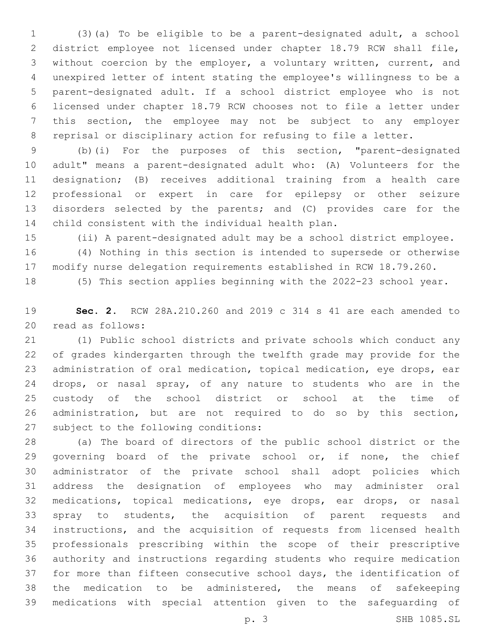(3)(a) To be eligible to be a parent-designated adult, a school district employee not licensed under chapter 18.79 RCW shall file, without coercion by the employer, a voluntary written, current, and unexpired letter of intent stating the employee's willingness to be a parent-designated adult. If a school district employee who is not licensed under chapter 18.79 RCW chooses not to file a letter under this section, the employee may not be subject to any employer reprisal or disciplinary action for refusing to file a letter.

 (b)(i) For the purposes of this section, "parent-designated adult" means a parent-designated adult who: (A) Volunteers for the designation; (B) receives additional training from a health care professional or expert in care for epilepsy or other seizure disorders selected by the parents; and (C) provides care for the 14 child consistent with the individual health plan.

(ii) A parent-designated adult may be a school district employee.

 (4) Nothing in this section is intended to supersede or otherwise modify nurse delegation requirements established in RCW 18.79.260.

(5) This section applies beginning with the 2022-23 school year.

 **Sec. 2.** RCW 28A.210.260 and 2019 c 314 s 41 are each amended to 20 read as follows:

 (1) Public school districts and private schools which conduct any of grades kindergarten through the twelfth grade may provide for the administration of oral medication, topical medication, eye drops, ear drops, or nasal spray, of any nature to students who are in the custody of the school district or school at the time of administration, but are not required to do so by this section, 27 subject to the following conditions:

 (a) The board of directors of the public school district or the 29 governing board of the private school or, if none, the chief administrator of the private school shall adopt policies which address the designation of employees who may administer oral medications, topical medications, eye drops, ear drops, or nasal spray to students, the acquisition of parent requests and instructions, and the acquisition of requests from licensed health professionals prescribing within the scope of their prescriptive authority and instructions regarding students who require medication for more than fifteen consecutive school days, the identification of the medication to be administered, the means of safekeeping medications with special attention given to the safeguarding of

p. 3 SHB 1085.SL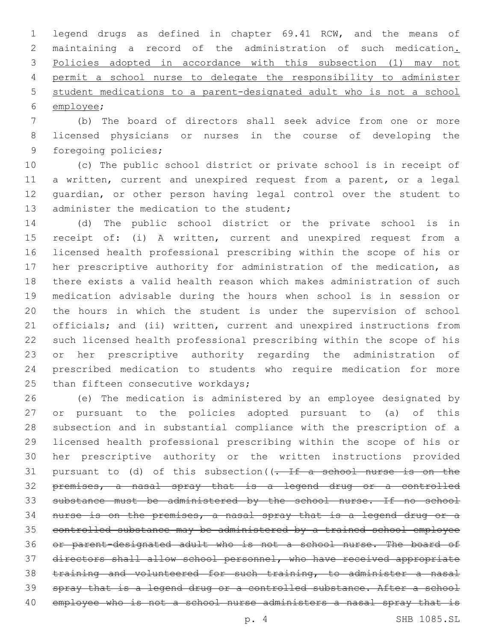legend drugs as defined in chapter 69.41 RCW, and the means of maintaining a record of the administration of such medication. Policies adopted in accordance with this subsection (1) may not permit a school nurse to delegate the responsibility to administer student medications to a parent-designated adult who is not a school 6 employee;

 (b) The board of directors shall seek advice from one or more licensed physicians or nurses in the course of developing the 9 foregoing policies;

 (c) The public school district or private school is in receipt of a written, current and unexpired request from a parent, or a legal guardian, or other person having legal control over the student to 13 administer the medication to the student;

 (d) The public school district or the private school is in receipt of: (i) A written, current and unexpired request from a licensed health professional prescribing within the scope of his or her prescriptive authority for administration of the medication, as there exists a valid health reason which makes administration of such medication advisable during the hours when school is in session or the hours in which the student is under the supervision of school officials; and (ii) written, current and unexpired instructions from such licensed health professional prescribing within the scope of his or her prescriptive authority regarding the administration of prescribed medication to students who require medication for more 25 than fifteen consecutive workdays;

 (e) The medication is administered by an employee designated by or pursuant to the policies adopted pursuant to (a) of this subsection and in substantial compliance with the prescription of a licensed health professional prescribing within the scope of his or her prescriptive authority or the written instructions provided 31 pursuant to (d) of this subsection  $($ . If a school nurse is on the premises, a nasal spray that is a legend drug or a controlled 33 substance must be administered by the school nurse. If no school nurse is on the premises, a nasal spray that is a legend drug or a controlled substance may be administered by a trained school employee or parent-designated adult who is not a school nurse. The board of directors shall allow school personnel, who have received appropriate training and volunteered for such training, to administer a nasal 39 spray that is a legend drug or a controlled substance. After a school 40 employee who is not a school nurse administers a nasal spray that is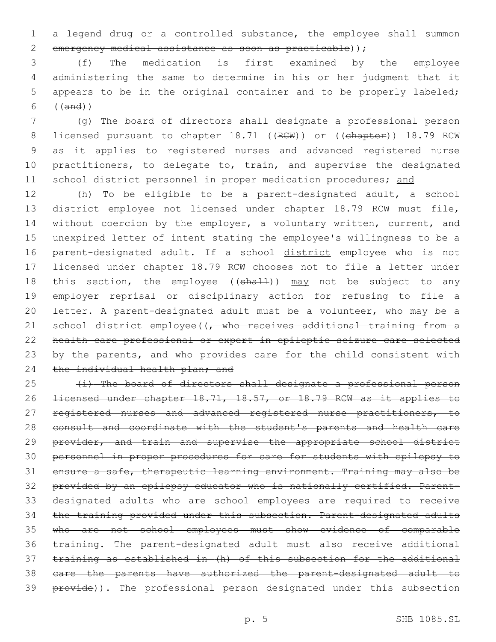1 a legend drug or a controlled substance, the employee shall summon emergency medical assistance as soon as practicable));

 (f) The medication is first examined by the employee administering the same to determine in his or her judgment that it appears to be in the original container and to be properly labeled; ((and))

 (g) The board of directors shall designate a professional person 8 licensed pursuant to chapter 18.71 ((RCW)) or ((chapter)) 18.79 RCW as it applies to registered nurses and advanced registered nurse 10 practitioners, to delegate to, train, and supervise the designated 11 school district personnel in proper medication procedures; and

 (h) To be eligible to be a parent-designated adult, a school district employee not licensed under chapter 18.79 RCW must file, 14 without coercion by the employer, a voluntary written, current, and unexpired letter of intent stating the employee's willingness to be a 16 parent-designated adult. If a school district employee who is not licensed under chapter 18.79 RCW chooses not to file a letter under 18 this section, the employee ((shall)) may not be subject to any employer reprisal or disciplinary action for refusing to file a letter. A parent-designated adult must be a volunteer, who may be a 21 school district employee((, who receives additional training from a health care professional or expert in epileptic seizure care selected 23 by the parents, and who provides care for the child consistent with 24 the individual health plan; and

 (i) The board of directors shall designate a professional person licensed under chapter 18.71, 18.57, or 18.79 RCW as it applies to 27 registered nurses and advanced registered nurse practitioners, to consult and coordinate with the student's parents and health care 29 provider, and train and supervise the appropriate school district personnel in proper procedures for care for students with epilepsy to ensure a safe, therapeutic learning environment. Training may also be provided by an epilepsy educator who is nationally certified. Parent- designated adults who are school employees are required to receive the training provided under this subsection. Parent-designated adults who are not school employees must show evidence of comparable training. The parent-designated adult must also receive additional training as established in (h) of this subsection for the additional care the parents have authorized the parent-designated adult to **provide)**). The professional person designated under this subsection